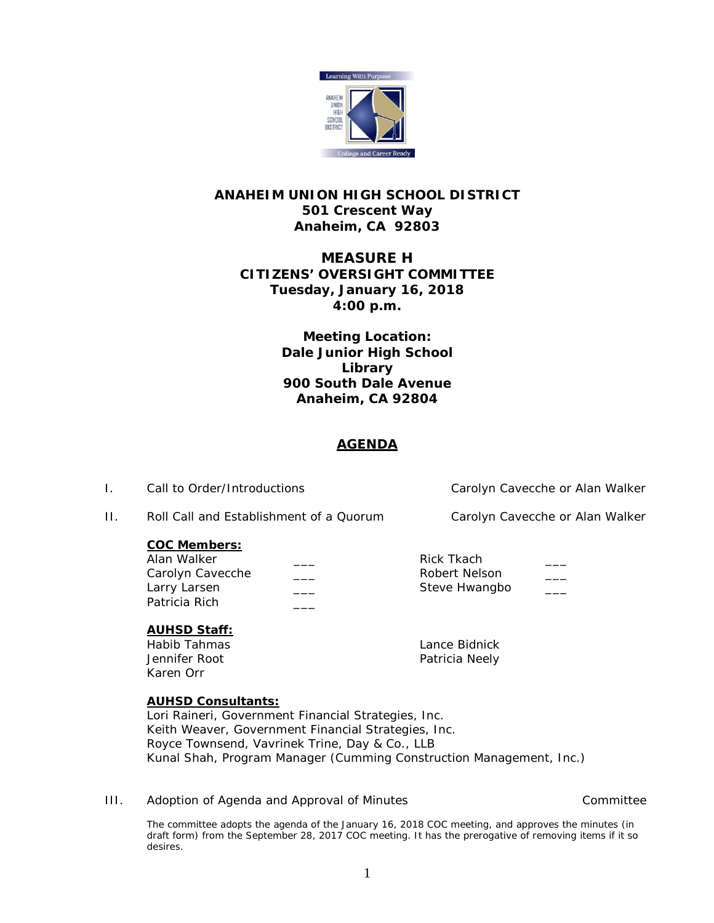

# **ANAHEIM UNION HIGH SCHOOL DISTRICT 501 Crescent Way Anaheim, CA 92803**

# **MEASURE H CITIZENS' OVERSIGHT COMMITTEE Tuesday, January 16, 2018 4:00 p.m.**

**Meeting Location: Dale Junior High School Library 900 South Dale Avenue Anaheim, CA 92804**

# **AGENDA**

I. Call to Order/Introductions Carolyn Cavecche or Alan Walker

II. Roll Call and Establishment of a Quorum Carolyn Cavecche or Alan Walker

## **COC Members:**

| Alan Walker      |  |
|------------------|--|
| Carolyn Cavecche |  |
| Larry Larsen     |  |
| Patricia Rich    |  |

Rick Tkach Robert Nelson Steve Hwangbo

# **AUHSD Staff:**

Habib Tahmas Lance Bidnick Jennifer Root **Patricia** Neely Karen Orr

## **AUHSD Consultants:**

Lori Raineri, Government Financial Strategies, Inc. Keith Weaver, Government Financial Strategies, Inc. Royce Townsend, Vavrinek Trine, Day & Co., LLB Kunal Shah, Program Manager (Cumming Construction Management, Inc.)

III. Adoption of Agenda and Approval of Minutes and Committee Committee

The committee adopts the agenda of the January 16, 2018 COC meeting, and approves the minutes (in draft form) from the September 28, 2017 COC meeting. It has the prerogative of removing items if it so desires.